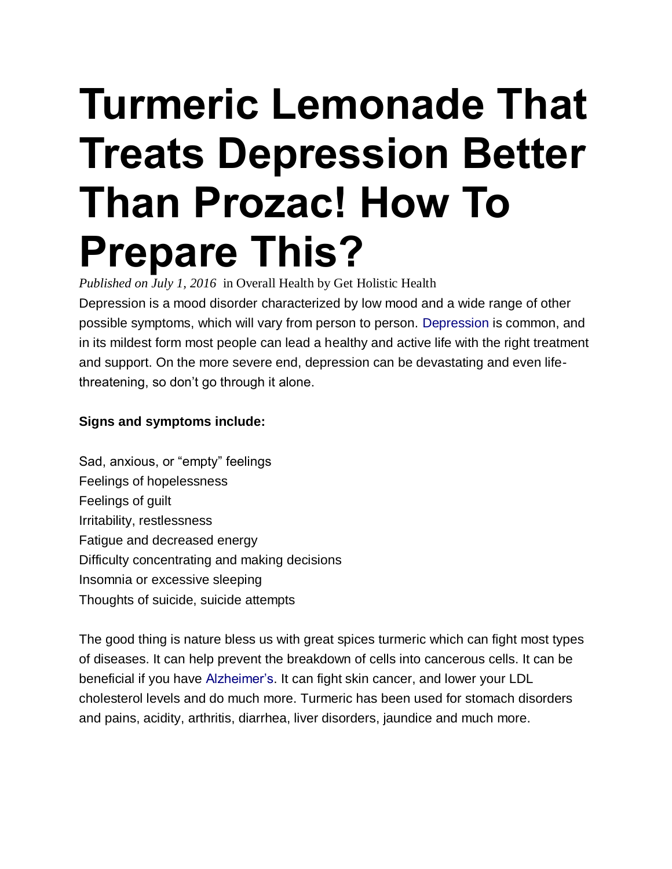# **Turmeric Lemonade That Treats Depression Better Than Prozac! How To Prepare This?**

*Published on July 1, 2016* in [Overall Health](http://www.getholistichealth.com/category/overall-health/) by [Get Holistic Health](http://www.getholistichealth.com/author/admin/)

Depression is a mood disorder characterized by low mood and a wide range of other possible symptoms, which will vary from person to person. [Depression](https://www.nimh.nih.gov/health/topics/depression/index.shtml) is common, and in its mildest form most people can lead a healthy and active life with the right treatment and support. On the more severe end, depression can be devastating and even lifethreatening, so don't go through it alone.

### **Signs and symptoms include:**

Sad, anxious, or "empty" feelings Feelings of hopelessness Feelings of guilt Irritability, restlessness Fatigue and decreased energy Difficulty concentrating and making decisions Insomnia or excessive sleeping Thoughts of suicide, suicide attempts

The good thing is nature bless us with great spices turmeric which can fight most types of diseases. It can help prevent the breakdown of cells into cancerous cells. It can be beneficial if you have [Alzheimer's.](http://www.alz.org/) It can fight skin cancer, and lower your LDL cholesterol levels and do much more. Turmeric has been used for stomach disorders and pains, acidity, arthritis, diarrhea, liver disorders, jaundice and much more.